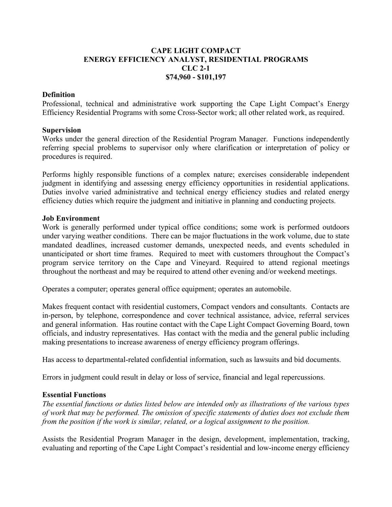# **CAPE LIGHT COMPACT ENERGY EFFICIENCY ANALYST, RESIDENTIAL PROGRAMS CLC 2-1 \$74,960 - \$101,197**

### **Definition**

Professional, technical and administrative work supporting the Cape Light Compact's Energy Efficiency Residential Programs with some Cross-Sector work; all other related work, as required.

#### **Supervision**

Works under the general direction of the Residential Program Manager. Functions independently referring special problems to supervisor only where clarification or interpretation of policy or procedures is required.

Performs highly responsible functions of a complex nature; exercises considerable independent judgment in identifying and assessing energy efficiency opportunities in residential applications. Duties involve varied administrative and technical energy efficiency studies and related energy efficiency duties which require the judgment and initiative in planning and conducting projects.

#### **Job Environment**

Work is generally performed under typical office conditions; some work is performed outdoors under varying weather conditions. There can be major fluctuations in the work volume, due to state mandated deadlines, increased customer demands, unexpected needs, and events scheduled in unanticipated or short time frames. Required to meet with customers throughout the Compact's program service territory on the Cape and Vineyard. Required to attend regional meetings throughout the northeast and may be required to attend other evening and/or weekend meetings.

Operates a computer; operates general office equipment; operates an automobile.

Makes frequent contact with residential customers, Compact vendors and consultants. Contacts are in-person, by telephone, correspondence and cover technical assistance, advice, referral services and general information. Has routine contact with the Cape Light Compact Governing Board, town officials, and industry representatives. Has contact with the media and the general public including making presentations to increase awareness of energy efficiency program offerings.

Has access to departmental-related confidential information, such as lawsuits and bid documents.

Errors in judgment could result in delay or loss of service, financial and legal repercussions.

### **Essential Functions**

*The essential functions or duties listed below are intended only as illustrations of the various types of work that may be performed. The omission of specific statements of duties does not exclude them from the position if the work is similar, related, or a logical assignment to the position.*

Assists the Residential Program Manager in the design, development, implementation, tracking, evaluating and reporting of the Cape Light Compact's residential and low-income energy efficiency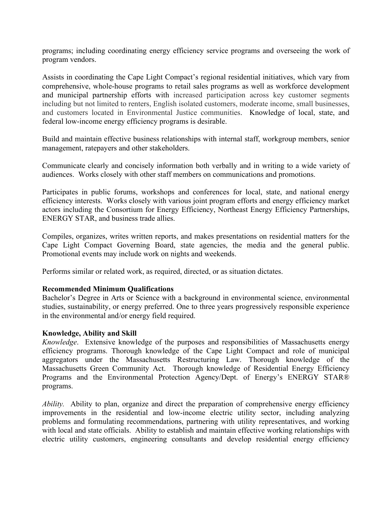programs; including coordinating energy efficiency service programs and overseeing the work of program vendors.

Assists in coordinating the Cape Light Compact's regional residential initiatives, which vary from comprehensive, whole-house programs to retail sales programs as well as workforce development and municipal partnership efforts with increased participation across key customer segments including but not limited to renters, English isolated customers, moderate income, small businesses, and customers located in Environmental Justice communities. Knowledge of local, state, and federal low-income energy efficiency programs is desirable.

Build and maintain effective business relationships with internal staff, workgroup members, senior management, ratepayers and other stakeholders.

Communicate clearly and concisely information both verbally and in writing to a wide variety of audiences. Works closely with other staff members on communications and promotions.

Participates in public forums, workshops and conferences for local, state, and national energy efficiency interests. Works closely with various joint program efforts and energy efficiency market actors including the Consortium for Energy Efficiency, Northeast Energy Efficiency Partnerships, ENERGY STAR, and business trade allies.

Compiles, organizes, writes written reports, and makes presentations on residential matters for the Cape Light Compact Governing Board, state agencies, the media and the general public. Promotional events may include work on nights and weekends.

Performs similar or related work, as required, directed, or as situation dictates.

### **Recommended Minimum Qualifications**

Bachelor's Degree in Arts or Science with a background in environmental science, environmental studies, sustainability, or energy preferred. One to three years progressively responsible experience in the environmental and/or energy field required.

### **Knowledge, Ability and Skill**

*Knowledge*. Extensive knowledge of the purposes and responsibilities of Massachusetts energy efficiency programs. Thorough knowledge of the Cape Light Compact and role of municipal aggregators under the Massachusetts Restructuring Law. Thorough knowledge of the Massachusetts Green Community Act. Thorough knowledge of Residential Energy Efficiency Programs and the Environmental Protection Agency/Dept. of Energy's ENERGY STAR® programs.

*Ability.* Ability to plan, organize and direct the preparation of comprehensive energy efficiency improvements in the residential and low-income electric utility sector, including analyzing problems and formulating recommendations, partnering with utility representatives, and working with local and state officials. Ability to establish and maintain effective working relationships with electric utility customers, engineering consultants and develop residential energy efficiency